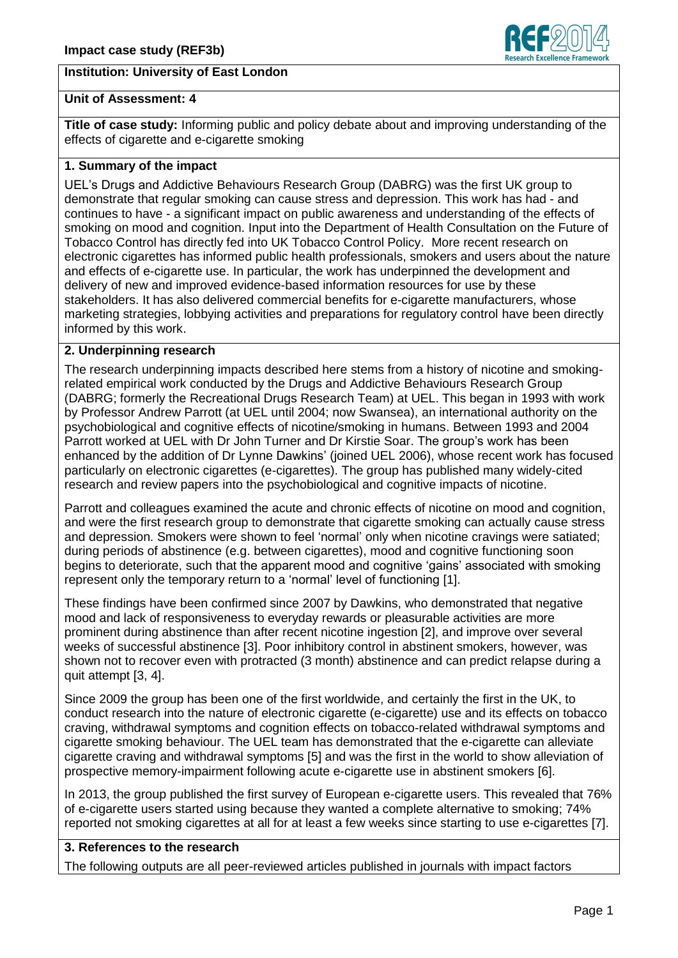# **Institution: University of East London**



### **Unit of Assessment: 4**

**Title of case study:** Informing public and policy debate about and improving understanding of the effects of cigarette and e-cigarette smoking

# **1. Summary of the impact**

UEL's Drugs and Addictive Behaviours Research Group (DABRG) was the first UK group to demonstrate that regular smoking can cause stress and depression. This work has had - and continues to have - a significant impact on public awareness and understanding of the effects of smoking on mood and cognition. Input into the Department of Health Consultation on the Future of Tobacco Control has directly fed into UK Tobacco Control Policy. More recent research on electronic cigarettes has informed public health professionals, smokers and users about the nature and effects of e-cigarette use. In particular, the work has underpinned the development and delivery of new and improved evidence-based information resources for use by these stakeholders. It has also delivered commercial benefits for e-cigarette manufacturers, whose marketing strategies, lobbying activities and preparations for regulatory control have been directly informed by this work.

### **2. Underpinning research**

The research underpinning impacts described here stems from a history of nicotine and smokingrelated empirical work conducted by the Drugs and Addictive Behaviours Research Group (DABRG; formerly the Recreational Drugs Research Team) at UEL. This began in 1993 with work by Professor Andrew Parrott (at UEL until 2004; now Swansea), an international authority on the psychobiological and cognitive effects of nicotine/smoking in humans. Between 1993 and 2004 Parrott worked at UEL with Dr John Turner and Dr Kirstie Soar. The group's work has been enhanced by the addition of Dr Lynne Dawkins' (joined UEL 2006), whose recent work has focused particularly on electronic cigarettes (e-cigarettes). The group has published many widely-cited research and review papers into the psychobiological and cognitive impacts of nicotine.

Parrott and colleagues examined the acute and chronic effects of nicotine on mood and cognition, and were the first research group to demonstrate that cigarette smoking can actually cause stress and depression. Smokers were shown to feel 'normal' only when nicotine cravings were satiated; during periods of abstinence (e.g. between cigarettes), mood and cognitive functioning soon begins to deteriorate, such that the apparent mood and cognitive 'gains' associated with smoking represent only the temporary return to a 'normal' level of functioning [1].

These findings have been confirmed since 2007 by Dawkins, who demonstrated that negative mood and lack of responsiveness to everyday rewards or pleasurable activities are more prominent during abstinence than after recent nicotine ingestion [2], and improve over several weeks of successful abstinence [3]. Poor inhibitory control in abstinent smokers, however, was shown not to recover even with protracted (3 month) abstinence and can predict relapse during a quit attempt [3, 4].

Since 2009 the group has been one of the first worldwide, and certainly the first in the UK, to conduct research into the nature of electronic cigarette (e-cigarette) use and its effects on tobacco craving, withdrawal symptoms and cognition effects on tobacco-related withdrawal symptoms and cigarette smoking behaviour. The UEL team has demonstrated that the e-cigarette can alleviate cigarette craving and withdrawal symptoms [5] and was the first in the world to show alleviation of prospective memory-impairment following acute e-cigarette use in abstinent smokers [6].

In 2013, the group published the first survey of European e-cigarette users. This revealed that 76% of e-cigarette users started using because they wanted a complete alternative to smoking; 74% reported not smoking cigarettes at all for at least a few weeks since starting to use e-cigarettes [7].

### **3. References to the research**

The following outputs are all peer-reviewed articles published in journals with impact factors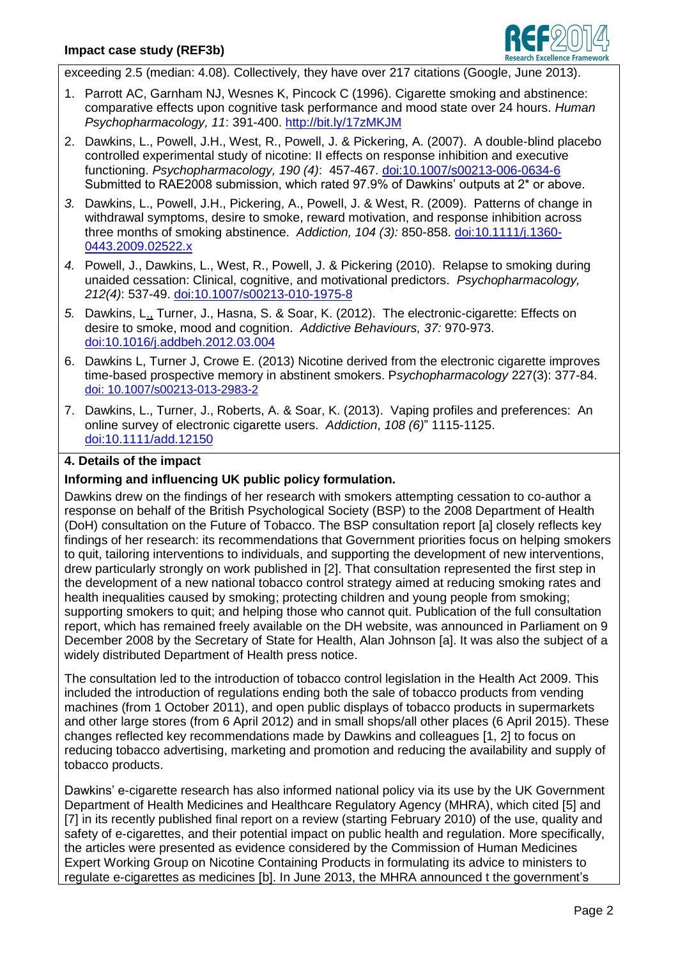

exceeding 2.5 (median: 4.08). Collectively, they have over 217 citations (Google, June 2013).

- 1. Parrott AC, Garnham NJ, Wesnes K, Pincock C (1996). Cigarette smoking and abstinence: comparative effects upon cognitive task performance and mood state over 24 hours. *Human Psychopharmacology, 11*: 391-400.<http://bit.ly/17zMKJM>
- 2. Dawkins, L., Powell, J.H., West, R., Powell, J. & Pickering, A. (2007). A double-blind placebo controlled experimental study of nicotine: II effects on response inhibition and executive functioning. *Psychopharmacology, 190 (4)*:457-467. [doi:10.1007/s00213-006-0634-6](http://dx.doi.org/10.1007/s00213-006-0634-6) Submitted to RAE2008 submission, which rated 97.9% of Dawkins' outputs at 2\* or above.
- *3.* Dawkins, L., Powell, J.H., Pickering, A., Powell, J. & West, R. (2009). Patterns of change in withdrawal symptoms, desire to smoke, reward motivation, and response inhibition across three months of smoking abstinence. *Addiction, 104 (3):* 850-858. [doi:10.1111/j.1360-](http://dx.doi.org/10.1111/j.1360-0443.2009.02522.x) [0443.2009.02522.x](http://dx.doi.org/10.1111/j.1360-0443.2009.02522.x)
- *4.* Powell, J., Dawkins, L., West, R., Powell, J. & Pickering (2010). Relapse to smoking during unaided cessation: Clinical, cognitive, and motivational predictors. *Psychopharmacology, 212(4)*: 537-49. [doi:10.1007/s00213-010-1975-8](http://dx.doi.org/10.1007/s00213-010-1975-8)
- *5.* Dawkins, L., Turner, J., Hasna, S. & Soar, K. (2012). The electronic-cigarette: Effects on desire to smoke, mood and cognition. *Addictive Behaviours, 37:* 970-973. [doi:10.1016/j.addbeh.2012.03.004](http://dx.doi.org/10.1016/j.addbeh.2012.03.004)
- 6. Dawkins L, Turner J, Crowe E. (2013) Nicotine derived from the electronic cigarette improves time-based prospective memory in abstinent smokers. P*sychopharmacology* 227(3): 377-84. doi: 10.1007/s00213-013-2983-2
- 7. Dawkins, L., Turner, J., Roberts, A. & Soar, K. (2013). Vaping profiles and preferences: An online survey of electronic cigarette users. *Addiction*, *108 (6)*" 1115-1125. [doi:10.1111/add.12150](http://dx.doi.org/10.1111/add.12150)

# **4. Details of the impact**

# **Informing and influencing UK public policy formulation.**

Dawkins drew on the findings of her research with smokers attempting cessation to co-author a response on behalf of the British Psychological Society (BSP) to the 2008 Department of Health (DoH) consultation on the Future of Tobacco. The BSP consultation report [a] closely reflects key findings of her research: its recommendations that Government priorities focus on helping smokers to quit, tailoring interventions to individuals, and supporting the development of new interventions, drew particularly strongly on work published in [2]. That consultation represented the first step in the development of a new national tobacco control strategy aimed at reducing smoking rates and health inequalities caused by smoking; protecting children and young people from smoking; supporting smokers to quit; and helping those who cannot quit. Publication of the full consultation report, which has remained freely available on the DH website, was announced in Parliament on 9 December 2008 by the Secretary of State for Health, Alan Johnson [a]. It was also the subject of a widely distributed Department of Health press notice.

The consultation led to the introduction of tobacco control legislation in the Health Act 2009. This included the introduction of regulations ending both the sale of tobacco products from vending machines (from 1 October 2011), and open public displays of tobacco products in supermarkets and other large stores (from 6 April 2012) and in small shops/all other places (6 April 2015). These changes reflected key recommendations made by Dawkins and colleagues [1, 2] to focus on reducing tobacco advertising, marketing and promotion and reducing the availability and supply of tobacco products.

Dawkins' e-cigarette research has also informed national policy via its use by the UK Government Department of Health Medicines and Healthcare Regulatory Agency (MHRA), which cited [5] and [7] in its recently published final report on a review (starting February 2010) of the use, quality and safety of e-cigarettes, and their potential impact on public health and regulation. More specifically, the articles were presented as evidence considered by the Commission of Human Medicines Expert Working Group on Nicotine Containing Products in formulating its advice to ministers to regulate e-cigarettes as medicines [b]. In June 2013, the MHRA announced t the government's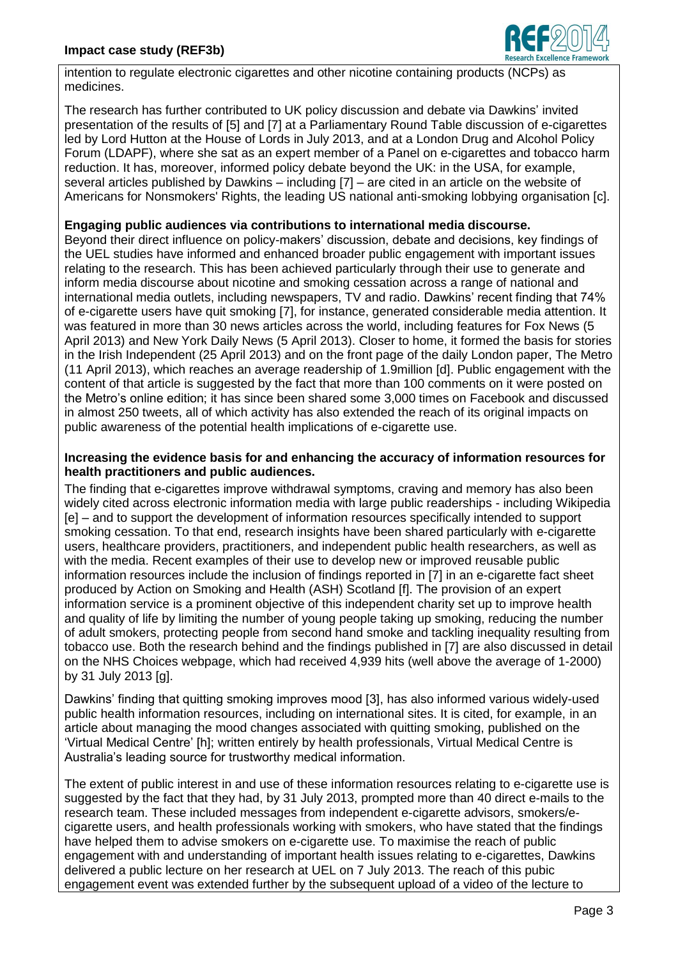

intention to regulate electronic cigarettes and other nicotine containing products (NCPs) as medicines.

The research has further contributed to UK policy discussion and debate via Dawkins' invited presentation of the results of [5] and [7] at a Parliamentary Round Table discussion of e-cigarettes led by Lord Hutton at the House of Lords in July 2013, and at a London Drug and Alcohol Policy Forum (LDAPF), where she sat as an expert member of a Panel on e-cigarettes and tobacco harm reduction. It has, moreover, informed policy debate beyond the UK: in the USA, for example, several articles published by Dawkins – including [7] – are cited in an article on the website of Americans for Nonsmokers' Rights, the leading US national anti-smoking lobbying organisation [c].

### **Engaging public audiences via contributions to international media discourse.**

Beyond their direct influence on policy-makers' discussion, debate and decisions, key findings of the UEL studies have informed and enhanced broader public engagement with important issues relating to the research. This has been achieved particularly through their use to generate and inform media discourse about nicotine and smoking cessation across a range of national and international media outlets, including newspapers, TV and radio. Dawkins' recent finding that 74% of e-cigarette users have quit smoking [7], for instance, generated considerable media attention. It was featured in more than 30 news articles across the world, including features for Fox News (5 April 2013) and New York Daily News (5 April 2013). Closer to home, it formed the basis for stories in the Irish Independent (25 April 2013) and on the front page of the daily London paper, The Metro (11 April 2013), which reaches an average readership of 1.9million [d]. Public engagement with the content of that article is suggested by the fact that more than 100 comments on it were posted on the Metro's online edition; it has since been shared some 3,000 times on Facebook and discussed in almost 250 tweets, all of which activity has also extended the reach of its original impacts on public awareness of the potential health implications of e-cigarette use.

### **Increasing the evidence basis for and enhancing the accuracy of information resources for health practitioners and public audiences.**

The finding that e-cigarettes improve withdrawal symptoms, craving and memory has also been widely cited across electronic information media with large public readerships - including Wikipedia [e] – and to support the development of information resources specifically intended to support smoking cessation. To that end, research insights have been shared particularly with e-cigarette users, healthcare providers, practitioners, and independent public health researchers, as well as with the media. Recent examples of their use to develop new or improved reusable public information resources include the inclusion of findings reported in [7] in an e-cigarette fact sheet produced by Action on Smoking and Health (ASH) Scotland [f]. The provision of an expert information service is a prominent objective of this independent charity set up to improve health and quality of life by limiting the number of young people taking up smoking, reducing the number of adult smokers, protecting people from second hand smoke and tackling inequality resulting from tobacco use. Both the research behind and the findings published in [7] are also discussed in detail on the NHS Choices webpage, which had received 4,939 hits (well above the average of 1-2000) by 31 July 2013 [g].

Dawkins' finding that quitting smoking improves mood [3], has also informed various widely-used public health information resources, including on international sites. It is cited, for example, in an article about managing the mood changes associated with quitting smoking, published on the 'Virtual Medical Centre' [h]; written entirely by health professionals, Virtual Medical Centre is Australia's leading source for trustworthy medical information.

The extent of public interest in and use of these information resources relating to e-cigarette use is suggested by the fact that they had, by 31 July 2013, prompted more than 40 direct e-mails to the research team. These included messages from independent e-cigarette advisors, smokers/ecigarette users, and health professionals working with smokers, who have stated that the findings have helped them to advise smokers on e-cigarette use. To maximise the reach of public engagement with and understanding of important health issues relating to e-cigarettes, Dawkins delivered a public lecture on her research at UEL on 7 July 2013. The reach of this pubic engagement event was extended further by the subsequent upload of a video of the lecture to